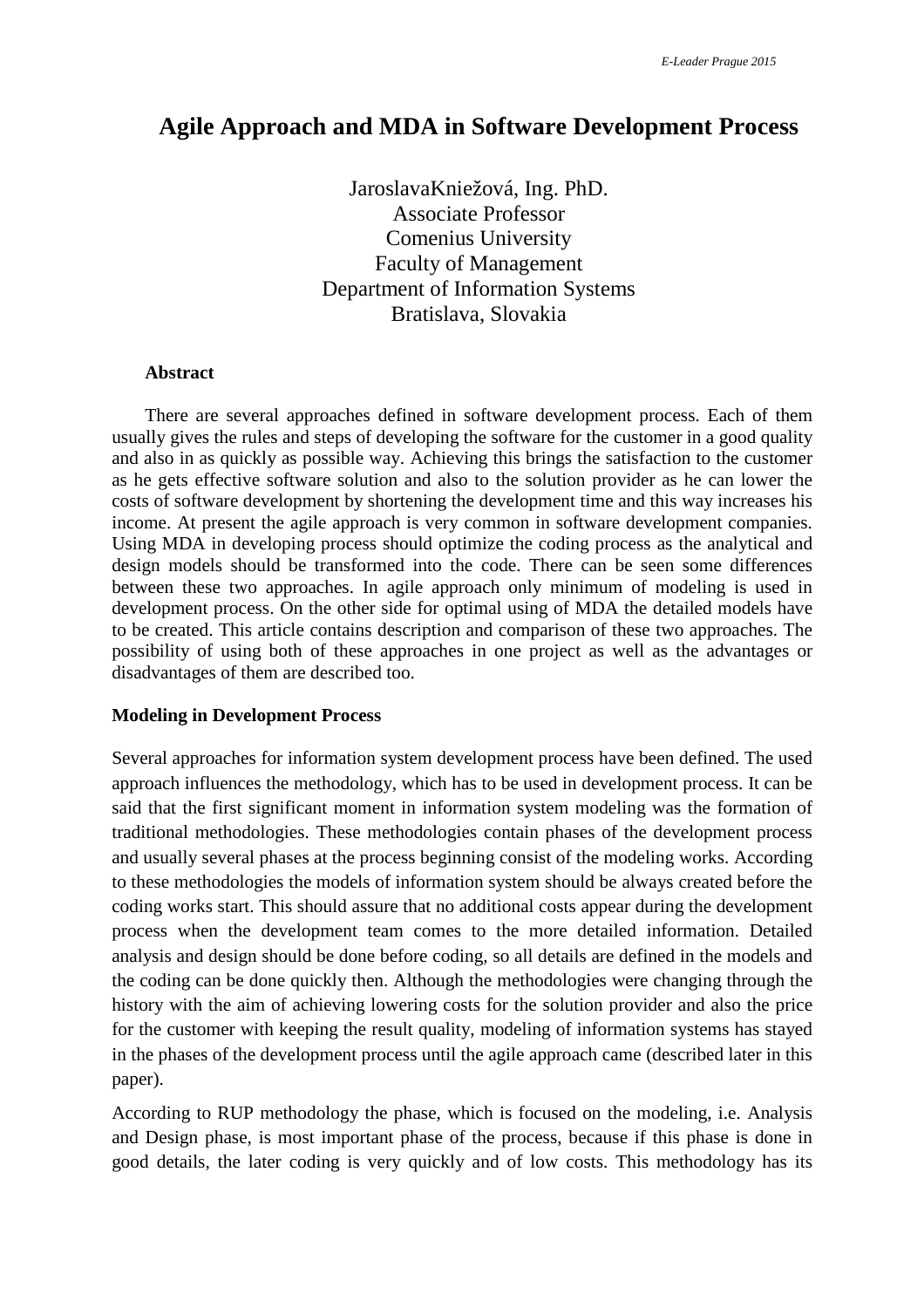# **Agile Approach and MDA in Software Development Process**

JaroslavaKniežová, Ing. PhD. Associate Professor Comenius University Faculty of Management Department of Information Systems Bratislava, Slovakia

#### **Abstract**

There are several approaches defined in software development process. Each of them usually gives the rules and steps of developing the software for the customer in a good quality and also in as quickly as possible way. Achieving this brings the satisfaction to the customer as he gets effective software solution and also to the solution provider as he can lower the costs of software development by shortening the development time and this way increases his income. At present the agile approach is very common in software development companies. Using MDA in developing process should optimize the coding process as the analytical and design models should be transformed into the code. There can be seen some differences between these two approaches. In agile approach only minimum of modeling is used in development process. On the other side for optimal using of MDA the detailed models have to be created. This article contains description and comparison of these two approaches. The possibility of using both of these approaches in one project as well as the advantages or disadvantages of them are described too.

#### **Modeling in Development Process**

Several approaches for information system development process have been defined. The used approach influences the methodology, which has to be used in development process. It can be said that the first significant moment in information system modeling was the formation of traditional methodologies. These methodologies contain phases of the development process and usually several phases at the process beginning consist of the modeling works. According to these methodologies the models of information system should be always created before the coding works start. This should assure that no additional costs appear during the development process when the development team comes to the more detailed information. Detailed analysis and design should be done before coding, so all details are defined in the models and the coding can be done quickly then. Although the methodologies were changing through the history with the aim of achieving lowering costs for the solution provider and also the price for the customer with keeping the result quality, modeling of information systems has stayed in the phases of the development process until the agile approach came (described later in this paper).

According to RUP methodology the phase, which is focused on the modeling, i.e. Analysis and Design phase, is most important phase of the process, because if this phase is done in good details, the later coding is very quickly and of low costs. This methodology has its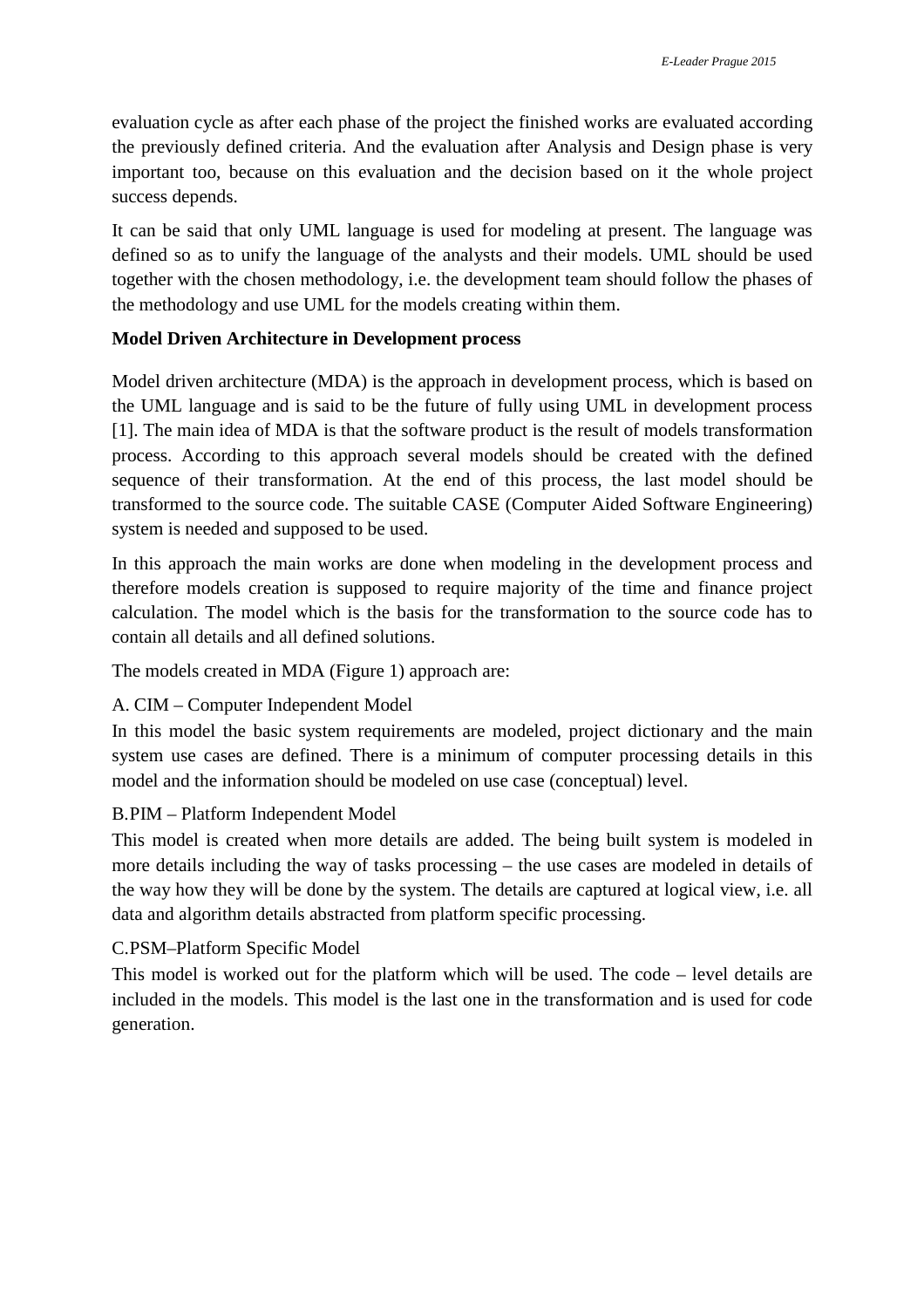evaluation cycle as after each phase of the project the finished works are evaluated according the previously defined criteria. And the evaluation after Analysis and Design phase is very important too, because on this evaluation and the decision based on it the whole project success depends.

It can be said that only UML language is used for modeling at present. The language was defined so as to unify the language of the analysts and their models. UML should be used together with the chosen methodology, i.e. the development team should follow the phases of the methodology and use UML for the models creating within them.

# **Model Driven Architecture in Development process**

Model driven architecture (MDA) is the approach in development process, which is based on the UML language and is said to be the future of fully using UML in development process [1]. The main idea of MDA is that the software product is the result of models transformation process. According to this approach several models should be created with the defined sequence of their transformation. At the end of this process, the last model should be transformed to the source code. The suitable CASE (Computer Aided Software Engineering) system is needed and supposed to be used.

In this approach the main works are done when modeling in the development process and therefore models creation is supposed to require majority of the time and finance project calculation. The model which is the basis for the transformation to the source code has to contain all details and all defined solutions.

The models created in MDA (Figure 1) approach are:

# A. CIM – Computer Independent Model

In this model the basic system requirements are modeled, project dictionary and the main system use cases are defined. There is a minimum of computer processing details in this model and the information should be modeled on use case (conceptual) level.

## B.PIM – Platform Independent Model

This model is created when more details are added. The being built system is modeled in more details including the way of tasks processing – the use cases are modeled in details of the way how they will be done by the system. The details are captured at logical view, i.e. all data and algorithm details abstracted from platform specific processing.

## C.PSM–Platform Specific Model

This model is worked out for the platform which will be used. The code – level details are included in the models. This model is the last one in the transformation and is used for code generation.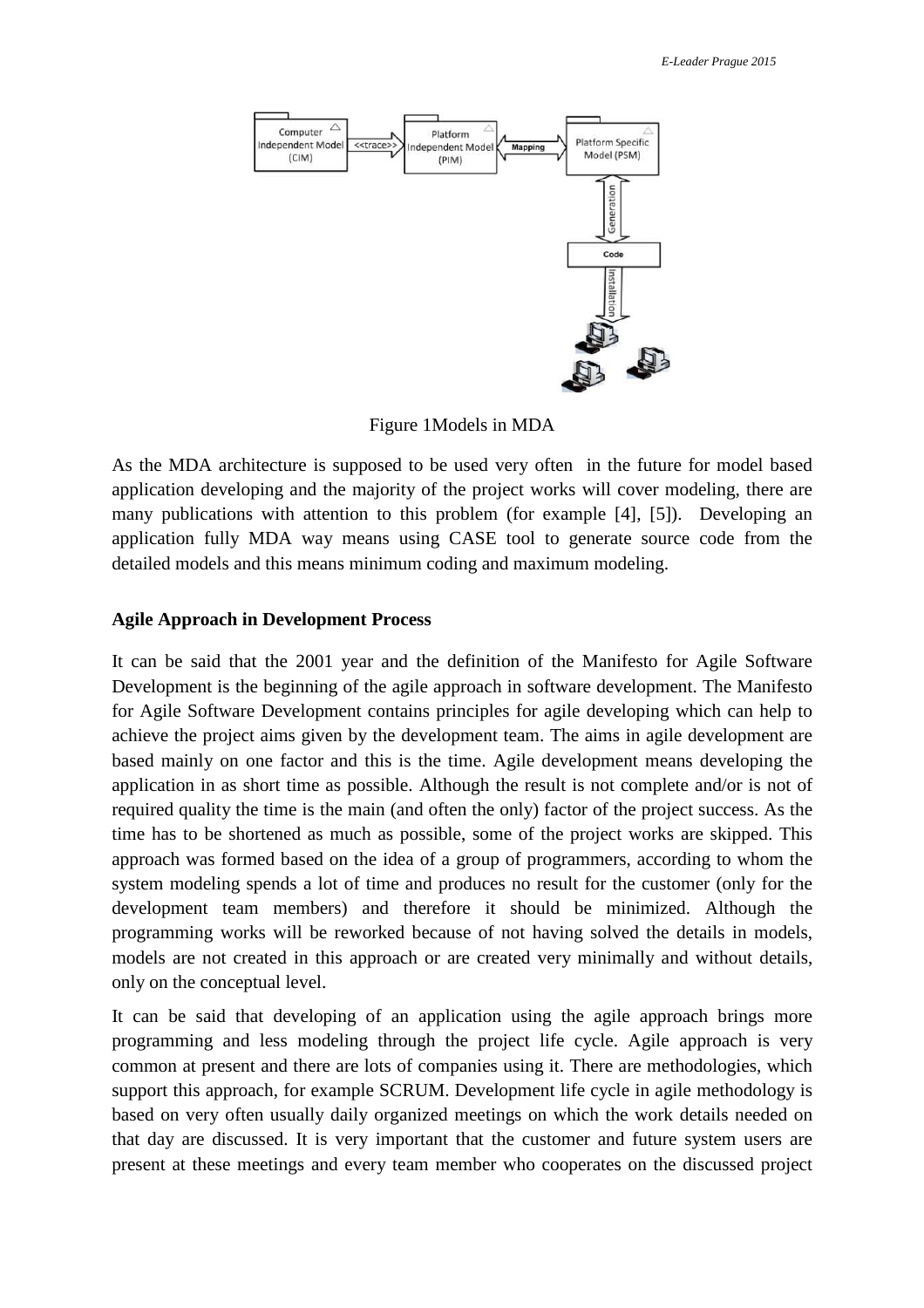

Figure 1Models in MDA

As the MDA architecture is supposed to be used very often in the future for model based application developing and the majority of the project works will cover modeling, there are many publications with attention to this problem (for example [4], [5]). Developing an application fully MDA way means using CASE tool to generate source code from the detailed models and this means minimum coding and maximum modeling.

## **Agile Approach in Development Process**

It can be said that the 2001 year and the definition of the Manifesto for Agile Software Development is the beginning of the agile approach in software development. The Manifesto for Agile Software Development contains principles for agile developing which can help to achieve the project aims given by the development team. The aims in agile development are based mainly on one factor and this is the time. Agile development means developing the application in as short time as possible. Although the result is not complete and/or is not of required quality the time is the main (and often the only) factor of the project success. As the time has to be shortened as much as possible, some of the project works are skipped. This approach was formed based on the idea of a group of programmers, according to whom the system modeling spends a lot of time and produces no result for the customer (only for the development team members) and therefore it should be minimized. Although the programming works will be reworked because of not having solved the details in models, models are not created in this approach or are created very minimally and without details, only on the conceptual level.

It can be said that developing of an application using the agile approach brings more programming and less modeling through the project life cycle. Agile approach is very common at present and there are lots of companies using it. There are methodologies, which support this approach, for example SCRUM. Development life cycle in agile methodology is based on very often usually daily organized meetings on which the work details needed on that day are discussed. It is very important that the customer and future system users are present at these meetings and every team member who cooperates on the discussed project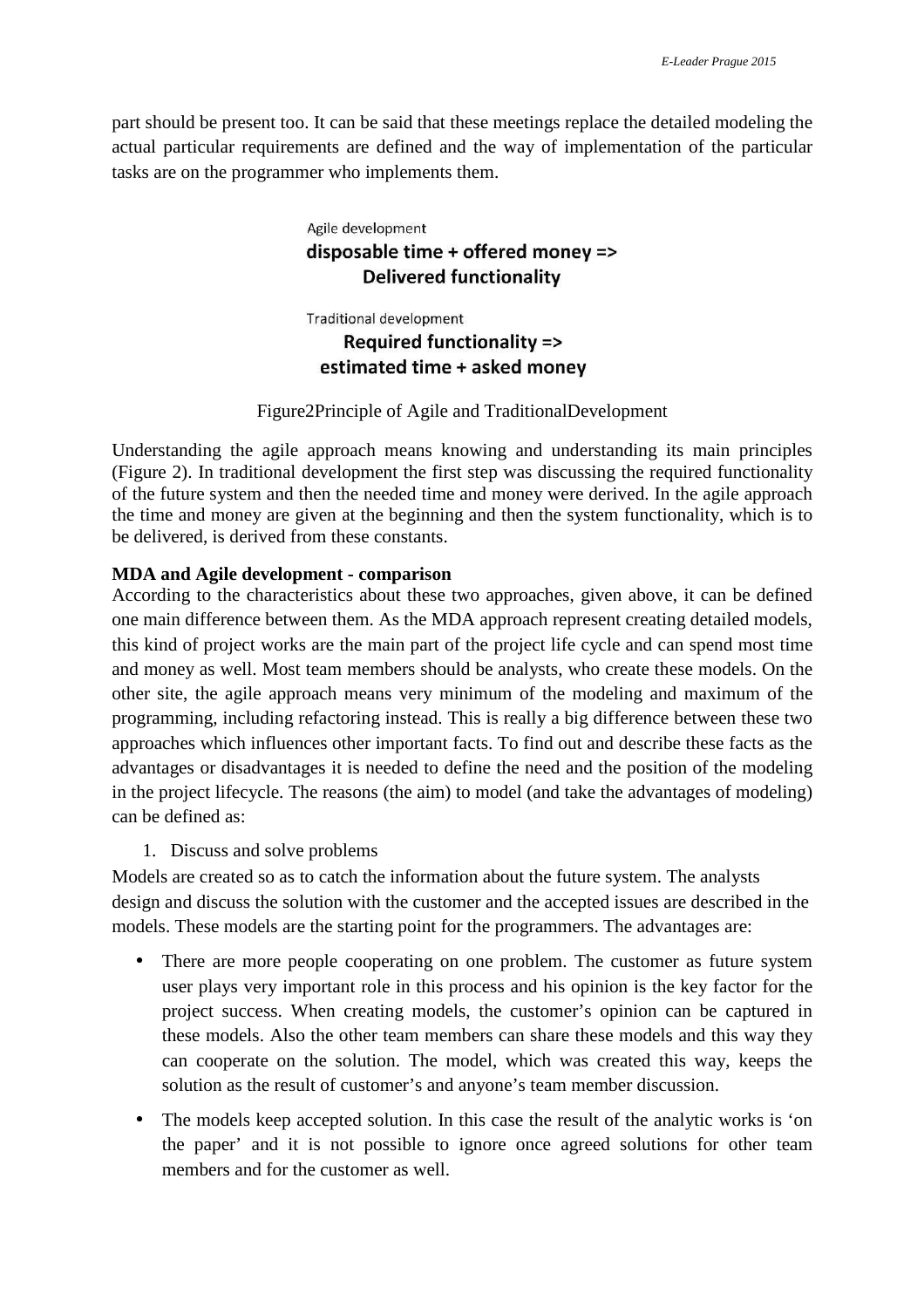part should be present too. It can be said that these meetings replace the detailed modeling the actual particular requirements are defined and the way of implementation of the particular tasks are on the programmer who implements them.

# Agile development disposable time + offered money => **Delivered functionality**

**Traditional development** 

# Required functionality => estimated time + asked money

# Figure2Principle of Agile and TraditionalDevelopment

Understanding the agile approach means knowing and understanding its main principles (Figure 2). In traditional development the first step was discussing the required functionality of the future system and then the needed time and money were derived. In the agile approach the time and money are given at the beginning and then the system functionality, which is to be delivered, is derived from these constants.

# **MDA and Agile development - comparison**

According to the characteristics about these two approaches, given above, it can be defined one main difference between them. As the MDA approach represent creating detailed models, this kind of project works are the main part of the project life cycle and can spend most time and money as well. Most team members should be analysts, who create these models. On the other site, the agile approach means very minimum of the modeling and maximum of the programming, including refactoring instead. This is really a big difference between these two approaches which influences other important facts. To find out and describe these facts as the advantages or disadvantages it is needed to define the need and the position of the modeling in the project lifecycle. The reasons (the aim) to model (and take the advantages of modeling) can be defined as:

1. Discuss and solve problems

Models are created so as to catch the information about the future system. The analysts design and discuss the solution with the customer and the accepted issues are described in the models. These models are the starting point for the programmers. The advantages are:

- There are more people cooperating on one problem. The customer as future system user plays very important role in this process and his opinion is the key factor for the project success. When creating models, the customer's opinion can be captured in these models. Also the other team members can share these models and this way they can cooperate on the solution. The model, which was created this way, keeps the solution as the result of customer's and anyone's team member discussion.
- The models keep accepted solution. In this case the result of the analytic works is 'on the paper' and it is not possible to ignore once agreed solutions for other team members and for the customer as well.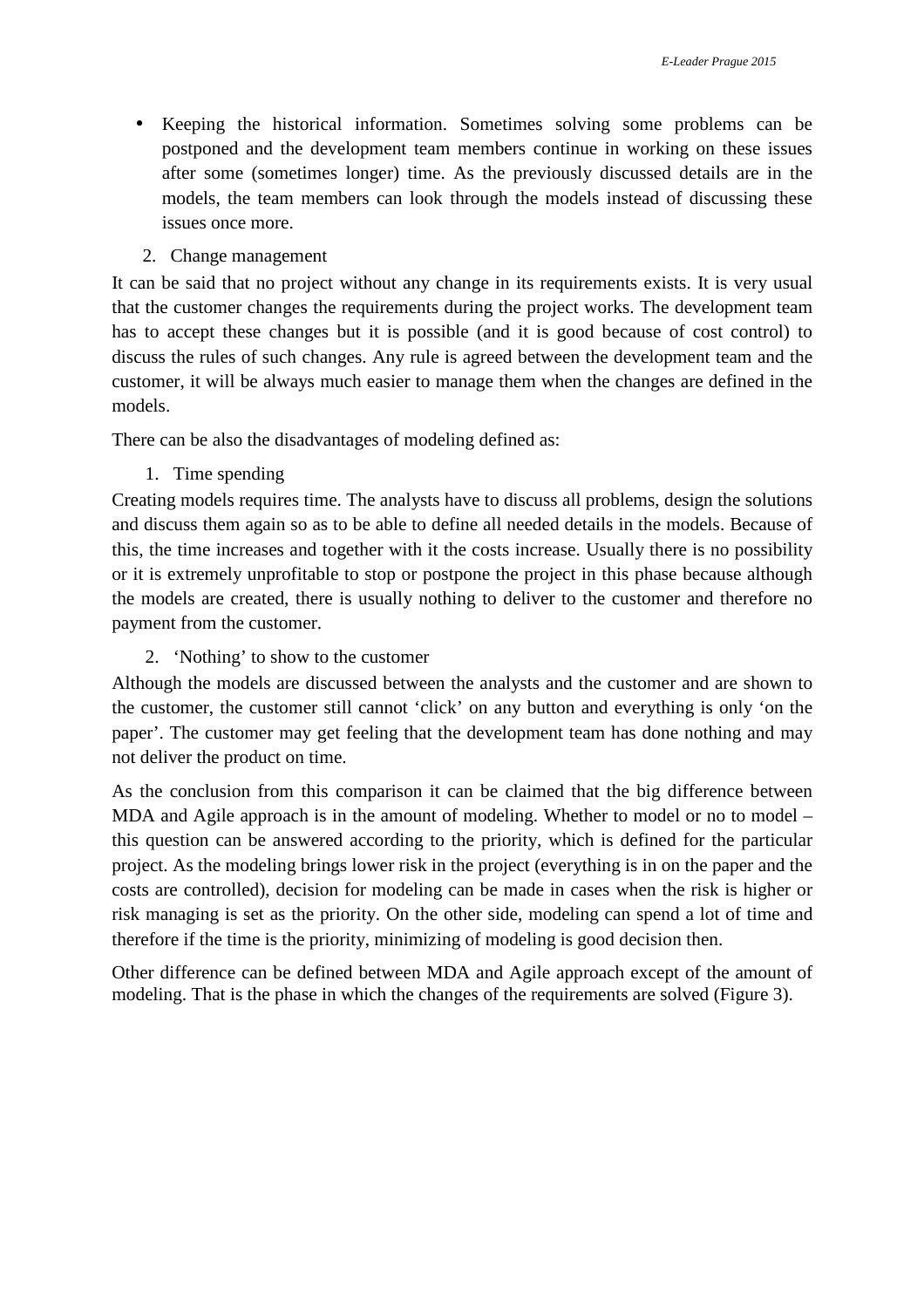- Keeping the historical information. Sometimes solving some problems can be postponed and the development team members continue in working on these issues after some (sometimes longer) time. As the previously discussed details are in the models, the team members can look through the models instead of discussing these issues once more.
	- 2. Change management

It can be said that no project without any change in its requirements exists. It is very usual that the customer changes the requirements during the project works. The development team has to accept these changes but it is possible (and it is good because of cost control) to discuss the rules of such changes. Any rule is agreed between the development team and the customer, it will be always much easier to manage them when the changes are defined in the models.

There can be also the disadvantages of modeling defined as:

1. Time spending

Creating models requires time. The analysts have to discuss all problems, design the solutions and discuss them again so as to be able to define all needed details in the models. Because of this, the time increases and together with it the costs increase. Usually there is no possibility or it is extremely unprofitable to stop or postpone the project in this phase because although the models are created, there is usually nothing to deliver to the customer and therefore no payment from the customer.

2. 'Nothing' to show to the customer

Although the models are discussed between the analysts and the customer and are shown to the customer, the customer still cannot 'click' on any button and everything is only 'on the paper'. The customer may get feeling that the development team has done nothing and may not deliver the product on time.

As the conclusion from this comparison it can be claimed that the big difference between MDA and Agile approach is in the amount of modeling. Whether to model or no to model – this question can be answered according to the priority, which is defined for the particular project. As the modeling brings lower risk in the project (everything is in on the paper and the costs are controlled), decision for modeling can be made in cases when the risk is higher or risk managing is set as the priority. On the other side, modeling can spend a lot of time and therefore if the time is the priority, minimizing of modeling is good decision then.

Other difference can be defined between MDA and Agile approach except of the amount of modeling. That is the phase in which the changes of the requirements are solved (Figure 3).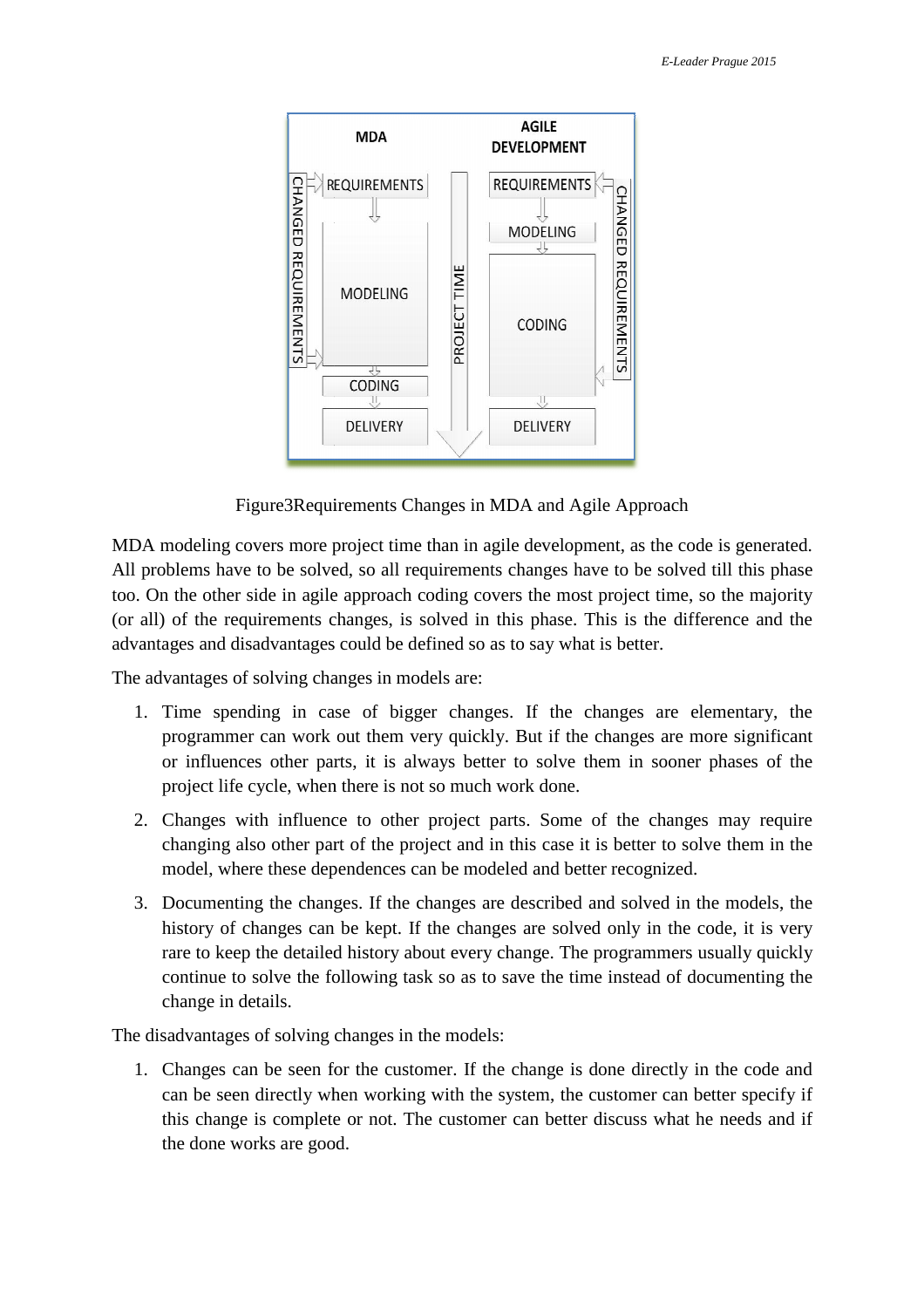

Figure3Requirements Requirements Changes in MDA and Agile Approach

MDA modeling covers more project time than in agile development, as the code is generated. All problems have to be solved, so all requirements changes have to be solved till this phase too. On the other side in agile approach coding covers the most project time, so the majority (or all) of the requirements changes, is solved in this phase. This is the difference and the advantages and disadvantages could be defined so as to say what is better. e Approach<br>
ent, as the code is generated.<br>
e to be solved till this phase<br>
project time, so the majority<br>
is is the difference and the<br>
is better.<br>
anges are elementary, the<br>
changes are more significant<br>
em in sooner pha

The advantages of solving changes in models are:

- 1. Time spending in case of bigger changes. If the changes are elementary, the programmer can work out them very quickly. But if the changes are more significant or influences other parts, it is always better to solve them in sooner phases of the project life cycle, when there is not so much work done.
- 2. Changes with influence to other project parts. Some of the changes may require changing also other part of the project and in this case it is better to solve them in the model, where these dependences can be modeled and better recognized.
- 3. Documenting the changes. If the changes are described and solved in the models, the history of changes can be kept. If the changes are solved only in the code, it is very rare to keep the detailed history about every change. The programmers usually quickly continue to solve the following task so as to save the time instead of documenting the change in details.

The disadvantages of solving changes in the models:

1. Changes can be seen for the customer. If the change is done directly in the code and can be seen directly when working with the system, the customer can better specify if this change is complete or not. The customer can better discuss what he needs and if the done works are good.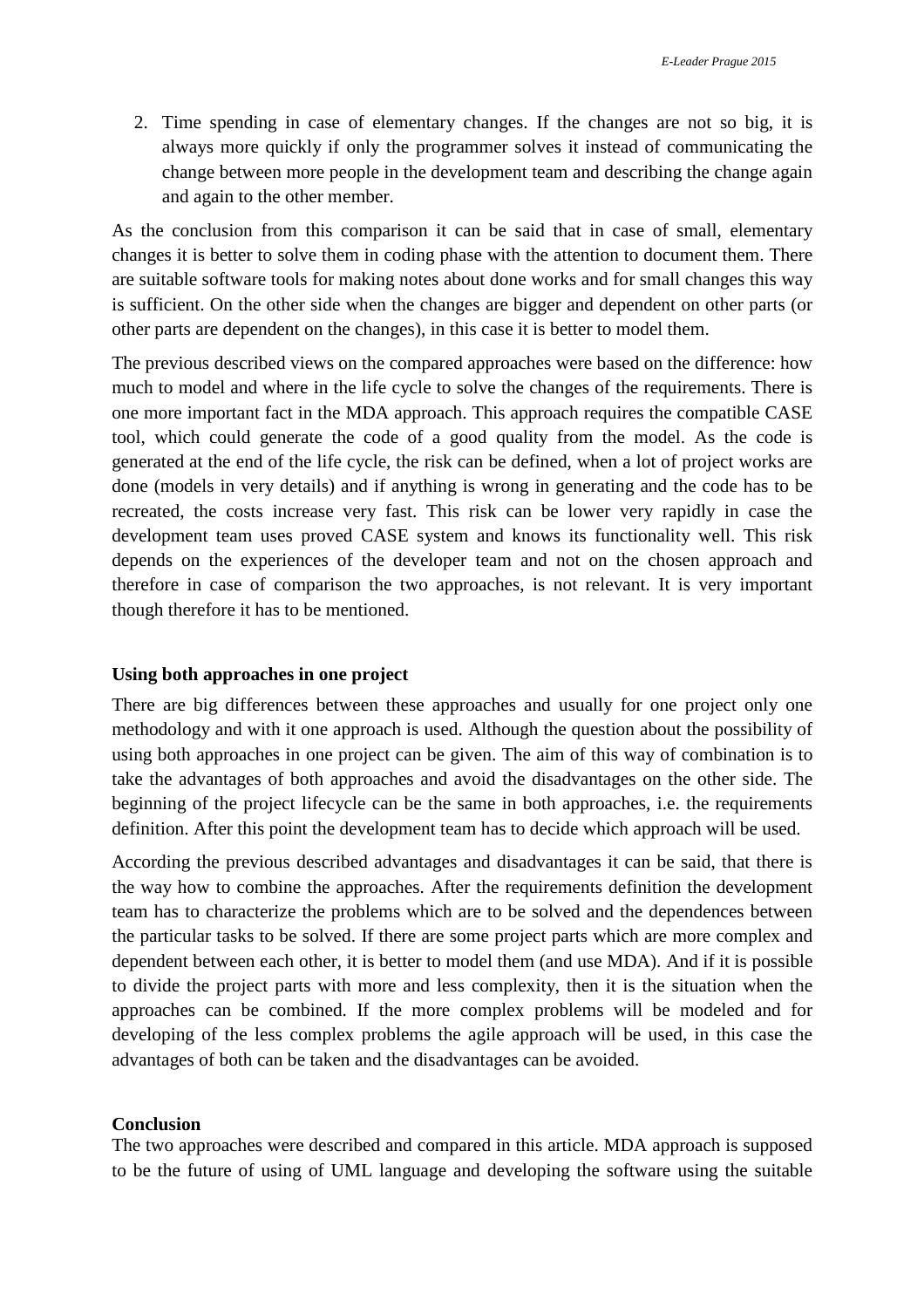2. Time spending in case of elementary changes. If the changes are not so big, it is always more quickly if only the programmer solves it instead of communicating the change between more people in the development team and describing the change again and again to the other member.

As the conclusion from this comparison it can be said that in case of small, elementary changes it is better to solve them in coding phase with the attention to document them. There are suitable software tools for making notes about done works and for small changes this way is sufficient. On the other side when the changes are bigger and dependent on other parts (or other parts are dependent on the changes), in this case it is better to model them.

The previous described views on the compared approaches were based on the difference: how much to model and where in the life cycle to solve the changes of the requirements. There is one more important fact in the MDA approach. This approach requires the compatible CASE tool, which could generate the code of a good quality from the model. As the code is generated at the end of the life cycle, the risk can be defined, when a lot of project works are done (models in very details) and if anything is wrong in generating and the code has to be recreated, the costs increase very fast. This risk can be lower very rapidly in case the development team uses proved CASE system and knows its functionality well. This risk depends on the experiences of the developer team and not on the chosen approach and therefore in case of comparison the two approaches, is not relevant. It is very important though therefore it has to be mentioned.

#### **Using both approaches in one project**

There are big differences between these approaches and usually for one project only one methodology and with it one approach is used. Although the question about the possibility of using both approaches in one project can be given. The aim of this way of combination is to take the advantages of both approaches and avoid the disadvantages on the other side. The beginning of the project lifecycle can be the same in both approaches, i.e. the requirements definition. After this point the development team has to decide which approach will be used.

According the previous described advantages and disadvantages it can be said, that there is the way how to combine the approaches. After the requirements definition the development team has to characterize the problems which are to be solved and the dependences between the particular tasks to be solved. If there are some project parts which are more complex and dependent between each other, it is better to model them (and use MDA). And if it is possible to divide the project parts with more and less complexity, then it is the situation when the approaches can be combined. If the more complex problems will be modeled and for developing of the less complex problems the agile approach will be used, in this case the advantages of both can be taken and the disadvantages can be avoided.

### **Conclusion**

The two approaches were described and compared in this article. MDA approach is supposed to be the future of using of UML language and developing the software using the suitable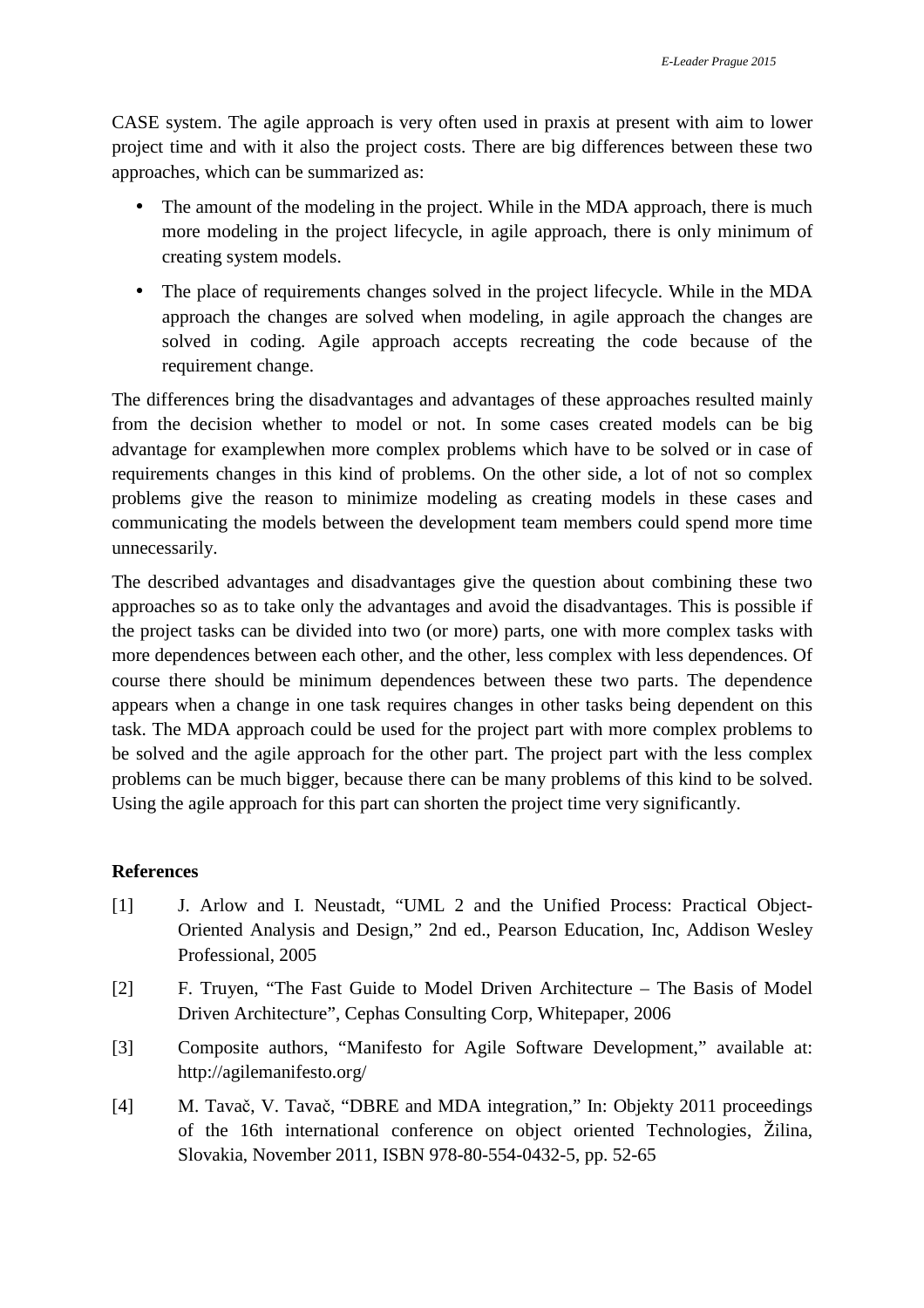CASE system. The agile approach is very often used in praxis at present with aim to lower project time and with it also the project costs. There are big differences between these two approaches, which can be summarized as:

- The amount of the modeling in the project. While in the MDA approach, there is much more modeling in the project lifecycle, in agile approach, there is only minimum of creating system models.
- The place of requirements changes solved in the project lifecycle. While in the MDA approach the changes are solved when modeling, in agile approach the changes are solved in coding. Agile approach accepts recreating the code because of the requirement change.

The differences bring the disadvantages and advantages of these approaches resulted mainly from the decision whether to model or not. In some cases created models can be big advantage for examplewhen more complex problems which have to be solved or in case of requirements changes in this kind of problems. On the other side, a lot of not so complex problems give the reason to minimize modeling as creating models in these cases and communicating the models between the development team members could spend more time unnecessarily.

The described advantages and disadvantages give the question about combining these two approaches so as to take only the advantages and avoid the disadvantages. This is possible if the project tasks can be divided into two (or more) parts, one with more complex tasks with more dependences between each other, and the other, less complex with less dependences. Of course there should be minimum dependences between these two parts. The dependence appears when a change in one task requires changes in other tasks being dependent on this task. The MDA approach could be used for the project part with more complex problems to be solved and the agile approach for the other part. The project part with the less complex problems can be much bigger, because there can be many problems of this kind to be solved. Using the agile approach for this part can shorten the project time very significantly.

# **References**

- [1] J. Arlow and I. Neustadt, "UML 2 and the Unified Process: Practical Object-Oriented Analysis and Design," 2nd ed., Pearson Education, Inc, Addison Wesley Professional, 2005
- [2] F. Truyen, "The Fast Guide to Model Driven Architecture The Basis of Model Driven Architecture", Cephas Consulting Corp, Whitepaper, 2006
- [3] Composite authors, "Manifesto for Agile Software Development," available at: http://agilemanifesto.org/
- [4] M. Tavač, V. Tavač, "DBRE and MDA integration," In: Objekty 2011 proceedings of the 16th international conference on object oriented Technologies, Žilina, Slovakia, November 2011, ISBN 978-80-554-0432-5, pp. 52-65